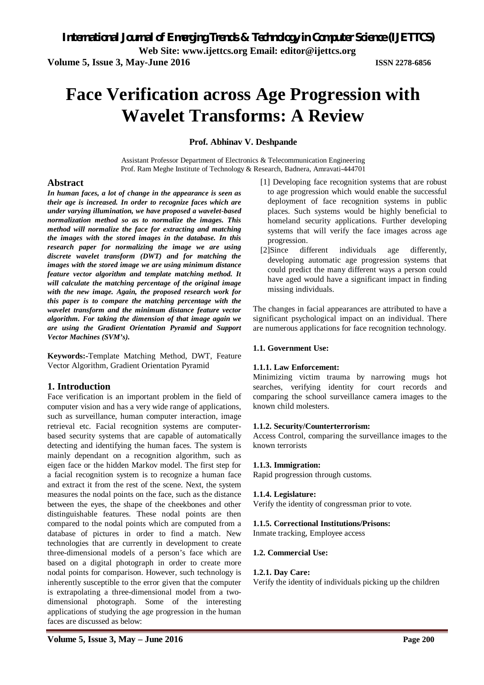**Web Site: www.ijettcs.org Email: editor@ijettcs.org** 

**Volume 5, Issue 3, May-June 2016 ISSN 2278-6856**

# **Face Verification across Age Progression with Wavelet Transforms: A Review**

**Prof. Abhinav V. Deshpande**

Assistant Professor Department of Electronics & Telecommunication Engineering Prof. Ram Meghe Institute of Technology & Research, Badnera, Amravati-444701

#### **Abstract**

*In human faces, a lot of change in the appearance is seen as their age is increased. In order to recognize faces which are under varying illumination, we have proposed a wavelet-based normalization method so as to normalize the images. This method will normalize the face for extracting and matching the images with the stored images in the database. In this research paper for normalizing the image we are using discrete wavelet transform (DWT) and for matching the images with the stored image we are using minimum distance feature vector algorithm and template matching method. It will calculate the matching percentage of the original image with the new image. Again, the proposed research work for this paper is to compare the matching percentage with the wavelet transform and the minimum distance feature vector algorithm. For taking the dimension of that image again we are using the Gradient Orientation Pyramid and Support Vector Machines (SVM's).*

**Keywords:-**Template Matching Method, DWT, Feature Vector Algorithm, Gradient Orientation Pyramid

#### **1. Introduction**

Face verification is an important problem in the field of computer vision and has a very wide range of applications, such as surveillance, human computer interaction, image retrieval etc. Facial recognition systems are computerbased security systems that are capable of automatically detecting and identifying the human faces. The system is mainly dependant on a recognition algorithm, such as eigen face or the hidden Markov model. The first step for a facial recognition system is to recognize a human face and extract it from the rest of the scene. Next, the system measures the nodal points on the face, such as the distance between the eyes, the shape of the cheekbones and other distinguishable features. These nodal points are then compared to the nodal points which are computed from a database of pictures in order to find a match. New technologies that are currently in development to create three-dimensional models of a person's face which are based on a digital photograph in order to create more nodal points for comparison. However, such technology is inherently susceptible to the error given that the computer is extrapolating a three-dimensional model from a twodimensional photograph. Some of the interesting applications of studying the age progression in the human faces are discussed as below:

- [1] Developing face recognition systems that are robust to age progression which would enable the successful deployment of face recognition systems in public places. Such systems would be highly beneficial to homeland security applications. Further developing systems that will verify the face images across age progression.
- [2]Since different individuals age differently, developing automatic age progression systems that could predict the many different ways a person could have aged would have a significant impact in finding missing individuals.

The changes in facial appearances are attributed to have a significant psychological impact on an individual. There are numerous applications for face recognition technology.

#### **1.1. Government Use:**

#### **1.1.1. Law Enforcement:**

Minimizing victim trauma by narrowing mugs hot searches, verifying identity for court records and comparing the school surveillance camera images to the known child molesters.

#### **1.1.2. Security/Counterterrorism:**

Access Control, comparing the surveillance images to the known terrorists

#### **1.1.3. Immigration:**

Rapid progression through customs.

#### **1.1.4. Legislature:**

Verify the identity of congressman prior to vote.

#### **1.1.5. Correctional Institutions/Prisons:**

Inmate tracking, Employee access

#### **1.2. Commercial Use:**

#### **1.2.1. Day Care:**

Verify the identity of individuals picking up the children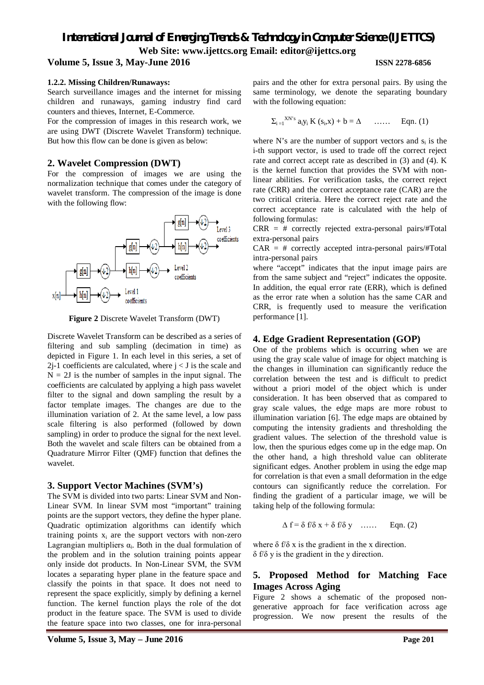# *International Journal of Emerging Trends & Technology in Computer Science (IJETTCS)* **Web Site: www.ijettcs.org Email: editor@ijettcs.org**

#### **Volume 5, Issue 3, May-June 2016 ISSN 2278-6856**

#### **1.2.2. Missing Children/Runaways:**

Search surveillance images and the internet for missing children and runaways, gaming industry find card counters and thieves, Internet, E-Commerce.

For the compression of images in this research work, we are using DWT (Discrete Wavelet Transform) technique. But how this flow can be done is given as below:

#### **2. Wavelet Compression (DWT)**

For the compression of images we are using the normalization technique that comes under the category of wavelet transform. The compression of the image is done with the following flow:



**Figure 2** Discrete Wavelet Transform (DWT)

Discrete Wavelet Transform can be described as a series of filtering and sub sampling (decimation in time) as depicted in Figure 1. In each level in this series, a set of  $2j-1$  coefficients are calculated, where  $j < J$  is the scale and  $N = 2J$  is the number of samples in the input signal. The coefficients are calculated by applying a high pass wavelet filter to the signal and down sampling the result by a factor template images. The changes are due to the illumination variation of 2. At the same level, a low pass scale filtering is also performed (followed by down sampling) in order to produce the signal for the next level. Both the wavelet and scale filters can be obtained from a Quadrature Mirror Filter (QMF) function that defines the wavelet.

#### **3. Support Vector Machines (SVM's)**

The SVM is divided into two parts: Linear SVM and Non-Linear SVM. In linear SVM most "important" training points are the support vectors, they define the hyper plane. Quadratic optimization algorithms can identify which training points  $x_i$  are the support vectors with non-zero Lagrangian multipliers  $\alpha_i$ . Both in the dual formulation of the problem and in the solution training points appear only inside dot products. In Non-Linear SVM, the SVM locates a separating hyper plane in the feature space and classify the points in that space. It does not need to represent the space explicitly, simply by defining a kernel function. The kernel function plays the role of the dot product in the feature space. The SVM is used to divide the feature space into two classes, one for inra-personal

pairs and the other for extra personal pairs. By using the same terminology, we denote the separating boundary with the following equation:

$$
\Sigma_{i=1}^{X N^\prime s} \, a_i y_i \, K \left( s_i, x \right) + b = \Delta \qquad \ldots \ldots \qquad Eqn. \ (1)
$$

where N's are the number of support vectors and  $s_i$  is the i-th support vector, is used to trade off the correct reject rate and correct accept rate as described in (3) and (4). K is the kernel function that provides the SVM with nonlinear abilities. For verification tasks, the correct reject rate (CRR) and the correct acceptance rate (CAR) are the two critical criteria. Here the correct reject rate and the correct acceptance rate is calculated with the help of following formulas:

 $CRR = #$  correctly rejected extra-personal pairs/#Total extra-personal pairs

 $CAR = #$  correctly accepted intra-personal pairs/#Total intra-personal pairs

where "accept" indicates that the input image pairs are from the same subject and "reject" indicates the opposite. In addition, the equal error rate (ERR), which is defined as the error rate when a solution has the same CAR and CRR, is frequently used to measure the verification performance [1].

### **4. Edge Gradient Representation (GOP)**

One of the problems which is occurring when we are using the gray scale value of image for object matching is the changes in illumination can significantly reduce the correlation between the test and is difficult to predict without a priori model of the object which is under consideration. It has been observed that as compared to gray scale values, the edge maps are more robust to illumination variation [6]. The edge maps are obtained by computing the intensity gradients and thresholding the gradient values. The selection of the threshold value is low, then the spurious edges come up in the edge map. On the other hand, a high threshold value can obliterate significant edges. Another problem in using the edge map for correlation is that even a small deformation in the edge contours can significantly reduce the correlation. For finding the gradient of a particular image, we will be taking help of the following formula:

$$
\Delta f = \delta f/\delta x + \delta f/\delta y \quad \dots \quad \text{Eqn. (2)}
$$

where  $\delta f/\delta x$  is the gradient in the x direction. δ f/δ y is the gradient in the y direction.

### **5. Proposed Method for Matching Face Images Across Aging**

Figure 2 shows a schematic of the proposed nongenerative approach for face verification across age progression. We now present the results of the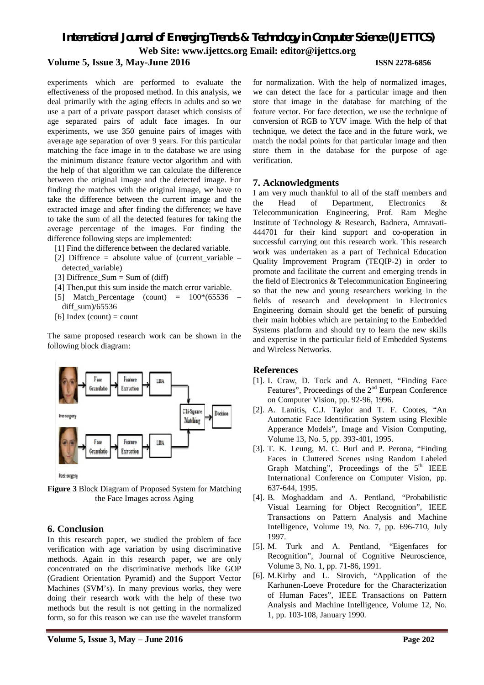## *International Journal of Emerging Trends & Technology in Computer Science (IJETTCS)* **Web Site: www.ijettcs.org Email: editor@ijettcs.org Volume 5, Issue 3, May-June 2016 ISSN 2278-6856**

experiments which are performed to evaluate the effectiveness of the proposed method. In this analysis, we deal primarily with the aging effects in adults and so we use a part of a private passport dataset which consists of age separated pairs of adult face images. In our experiments, we use 350 genuine pairs of images with average age separation of over 9 years. For this particular matching the face image in to the database we are using the minimum distance feature vector algorithm and with the help of that algorithm we can calculate the difference between the original image and the detected image. For finding the matches with the original image, we have to take the difference between the current image and the extracted image and after finding the difference; we have to take the sum of all the detected features for taking the average percentage of the images. For finding the difference following steps are implemented:

- [1] Find the difference between the declared variable.
- [2] Diffrence = absolute value of (current variable detected variable)
- [3] Diffrence\_Sum = Sum of (diff)
- [4] Then,put this sum inside the match error variable.
- [5] Match Percentage (count) =  $100*(65536$ diff\_sum)/65536
- [6] Index (count) = count

The same proposed research work can be shown in the following block diagram:



**Figure 3** Block Diagram of Proposed System for Matching the Face Images across Aging

#### **6. Conclusion**

In this research paper, we studied the problem of face verification with age variation by using discriminative methods. Again in this research paper, we are only concentrated on the discriminative methods like GOP (Gradient Orientation Pyramid) and the Support Vector Machines (SVM's). In many previous works, they were doing their research work with the help of these two methods but the result is not getting in the normalized form, so for this reason we can use the wavelet transform

for normalization. With the help of normalized images, we can detect the face for a particular image and then store that image in the database for matching of the feature vector. For face detection, we use the technique of conversion of RGB to YUV image. With the help of that technique, we detect the face and in the future work, we match the nodal points for that particular image and then store them in the database for the purpose of age verification.

#### **7. Acknowledgments**

I am very much thankful to all of the staff members and the Head of Department, Electronics & Telecommunication Engineering, Prof. Ram Meghe Institute of Technology & Research, Badnera, Amravati-444701 for their kind support and co-operation in successful carrying out this research work. This research work was undertaken as a part of Technical Education Quality Improvement Program (TEQIP-2) in order to promote and facilitate the current and emerging trends in the field of Electronics & Telecommunication Engineering so that the new and young researchers working in the fields of research and development in Electronics Engineering domain should get the benefit of pursuing their main hobbies which are pertaining to the Embedded Systems platform and should try to learn the new skills and expertise in the particular field of Embedded Systems and Wireless Networks.

#### **References**

- [1]. I. Craw, D. Tock and A. Bennett, "Finding Face Features", Proceedings of the 2<sup>nd</sup> Eurpean Conference on Computer Vision, pp. 92-96, 1996.
- [2]. A. Lanitis, C.J. Taylor and T. F. Cootes, "An Automatic Face Identification System using Flexible Apperance Models", Image and Vision Computing, Volume 13, No. 5, pp. 393-401, 1995.
- [3]. T. K. Leung, M. C. Burl and P. Perona, "Finding Faces in Cluttered Scenes using Random Labeled Graph Matching", Proceedings of the  $5<sup>th</sup>$  IEEE International Conference on Computer Vision, pp. 637-644, 1995.
- [4]. B. Moghaddam and A. Pentland, "Probabilistic Visual Learning for Object Recognition", IEEE Transactions on Pattern Analysis and Machine Intelligence, Volume 19, No. 7, pp. 696-710, July 1997.
- [5]. M. Turk and A. Pentland, "Eigenfaces for Recognition", Journal of Cognitive Neuroscience, Volume 3, No. 1, pp. 71-86, 1991.
- [6]. M.Kirby and L. Sirovich, "Application of the Karhunen-Loeve Procedure for the Characterization of Human Faces", IEEE Transactions on Pattern Analysis and Machine Intelligence, Volume 12, No. 1, pp. 103-108, January 1990.